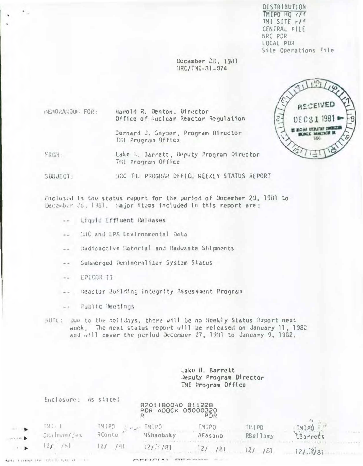DISTRIBUTION TMIPO HQ r/f TMI SITE r/f CENTRAL FILE NRC PDR LOCAL PDR Site Operations File

December 211, 1931  $HRC/T11-31-074$ 

> $uv_i$ **RECEIVED** DECS1 1981 BE ADCINE EFERATORY CONDICES **KING E BANKTRON I** tite

Harold R. Denton, Oirector **HEMORAGOUR FOR:** Office of Huclear Reactor Regulation

> Gernard J. Snyder, Program Director THI Prugrain Office

FROM: Lake M. Barrett, Deputy Program Director THI Program Office

SUBJECT: MRC THI PROGRAM OFFICE WEEKLY STAINS REPORT

Enclosed is the status report for the period of December 20, 1981 to December 26, 1981. Hajor items included in this report are:

- -- Liquid Effluent Releases
- THC and EPA Environmental Data  $\frac{1}{2}$
- Radioactive Material and Radwaste Shipments  $\sim$   $\sim$
- Submerged Demineralizer System Status  $\frac{1}{2}$
- EPICOR II  $\frac{1}{2}$

 $\ddot{\phantom{1}}$ 

- -- Reactor Pufiding Integrity Assessment Program
- Public Meetings  $= -$
- WDTE: Due to the holidays, there will be no Heekly Status Report next week. The next status report will be released on January 11, 1982. and will caver the period December 27, 1931 to January 9, 1982.

Lake il. Barrett Deputy Program Director TMI Program Office

|                                               | ENCLUSURE: AS SUITED                                                      |                 | 8201180040 811228<br><b>PDR ADOCK 05000320</b> | PDR              |                   |                          |
|-----------------------------------------------|---------------------------------------------------------------------------|-----------------|------------------------------------------------|------------------|-------------------|--------------------------|
| $\mathbf{u} \in \mathbb{R}$ with $\mathbf{b}$ | $\left[\begin{array}{c} 1 & 1 \\ 1 & 1 \end{array}\right]$<br>Grahman/Jes | TMIPO<br>RConte | TMIPO<br>MShanbaky                             | TMIPO<br>AFasano | TMIPO<br>RBellany | <b>TMIPU</b><br>LBarrets |
| $\cdot$ . $\mathbf{b}$                        | 751                                                                       | /311            | 12/7181                                        | /81              | /23               | 121.781                  |
| NINE EXAMAT TEN FIRMITI SALL OF               |                                                                           |                 |                                                |                  |                   |                          |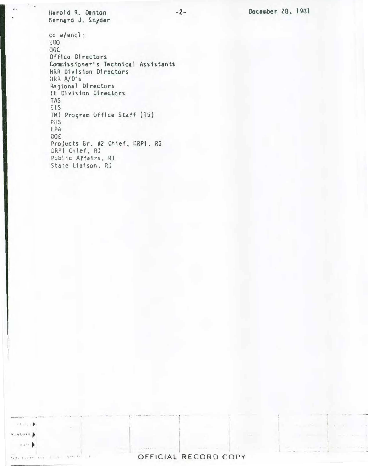Harold R. Denton Bernard J. Snyder

 $\mathbf{v}(t)$  ,  $\mathbf{u}^{\prime}$  ,  $\mathbf{b}^{\prime}$  $\leftarrow \leftarrow \leftarrow \leftarrow$  $114.11$ 

 $\epsilon_{\rm{eff}}$  , a stress of  $0$ 

 $cc$  w/encl: EDO OGC Office Directors Commissioner's Technical Assistants NRR Division Directors HRR A/D's Regional Directors IE Division Directors **TAS** EIS TMI Program Office Staff (15) PHS **EPA** DOE. Projects Br. #2 Chief, DRPI, RI DRPI Chief, RI Public Affairs, RI State Liaison, RI

 $-2-$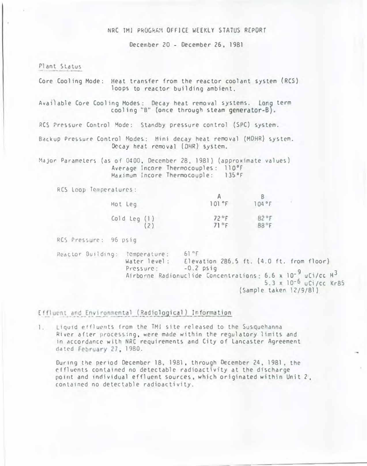## NRC TMI PROGRAM OFFICE WEEKLY STATUS REPORT

December 20 - December 26, 1981

Plant Status

Core Cooling Mode: Heat transfer from the reactor coolant system (RCS) loops to reactor building ambient.

Available Core Cooling Modes: Decay heat removal systems. Long term cooling "B" (once through steam generator-B).

RCS Pressure Control Mode: Standby pressure control (SPC) system.

Backup Pressure Control Modes: Mini decay heat removal (MDHR) system. Decay heat removal (DHR) system.

Major Parameters (as of 0400, December 28, 1981) (approximate values) Average incore Thermocouples: 110°F Maximum Incore Thermocouple: 135°F

RCS Loop Temperatures:

| Hot Leg        | 101 °F       | $104$ °F |
|----------------|--------------|----------|
| Cold Leg $(1)$ | 72°F         | 82°F     |
| (2)            | $71^\circ F$ | 88°F     |

RCS Pressure: 96 psig

 $61^{n}F$ Reactor Building: Temperature: Water level: Elevation 286.5 ft. (4.0 ft. from floor) Pressure:  $-0.2$  psig Pressure:  $-0.2$  psig<br>Airborne Radionuclide Concentrations: 6.6 x 10<sup>-9</sup> uCi/cc H<sup>3</sup><br>5.3 x 10<sup>-6</sup> uCi/cc Kr85 (Sample taken 12/9/81)

Effluent and Environmental (Radiological) Information

1. Liquid effluents from the TMI site released to the Susquehanna River after processing, were made within the regulatory limits and in accordance with NRC requirements and City of Lancaster Agreement dated February 27, 1980.

During the period December 18, 1981, through December 24, 1981, the effluents contained no detectable radioactivity at the discharge point and individual effluent sources, which originated within Unit 2. contained no detectable radioactivity.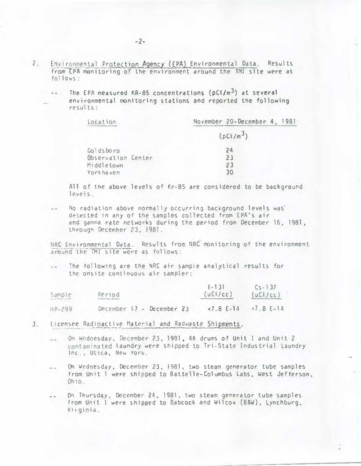- $\mathbf{2}$ . Environmental Protection Agency (EPA) Environmental Data. Results from EPA monitoring of the environment around the TMI site were as follows:
	- The EPA measured KR-85 concentrations ( $pC1/m<sup>3</sup>$ ) at several environmental monitoring stations and reported the following  $results:$

| Location           | November 20-December 4, 1981 |  |  |  |
|--------------------|------------------------------|--|--|--|
|                    | (pCi/m <sup>3</sup> )        |  |  |  |
| Goldsboro          | 24                           |  |  |  |
| Observation Center | 23                           |  |  |  |
| Middletown         | 23                           |  |  |  |
| Yorkhaven          | 30                           |  |  |  |
|                    |                              |  |  |  |

All of the above levels of Kr-85 are considered to be background  $levels.$ 

No radiation above normally occurring background levels was detected in any of the samples collected from EPA's air and gamma rate networks during the period from December 16, 1981, through December 23, 1981.

NRC Environmental Data. Results from NRC monitoring of the environment around the TMI site were as follows:

The following are the NRC air sample analytical results for the onsite continuous air sampler:

| Sample     | Period                    | $[-13]$<br>(uCi/cc) | $Cs - 137$<br>(uCi/cc) |
|------------|---------------------------|---------------------|------------------------|
| $HP - 299$ | December 17 - December 23 | $27.8 E-14$         | $-7.8E-14$             |

- 3. Licensee Radioactive Material and Radwaste Shipments.
	- On Wednesday, December 23, 1981, 44 drums of Unit I and Unit 2 contaminated laundry were shipped to Tri-State Industrial Laundry Inc., Utica, New York.
	- On Wednesday, December 23, 1981, two steam generator tube samples  $\omega$ from Unit 1 were shipped to Battelle-Columbus Labs, West Jefferson, Ohio.
	- On Thursday, December 24, 1981, two steam generator tube samples from Unit 1 were shipped to Babcock and Wilcox (B&W), Lynchburg, Virginia.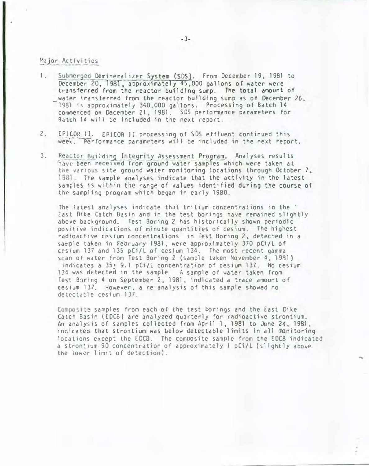## Major Activities

- 1. Submerged Demineralizer System (SOS}. From December 19, 1981 to December 20, 1981, approximately 45,000 gallons of water were transferred from the reactor building sump. The total amount of water transferred from the reactor building sump as of December 26. 1981 is approximately 340,000 gallons. Processing of Batch 14 commenced on December 21, 1981. SOS perfonnance parameters for Ratch 14 w1ll be included in the next report.
- 2. EPICOR II. EPICOR II processing of SDS effluent continued this week. Performance parameters will be included in the next report.
- 3. Reactor Building Integrity Assessment Program. Analyses results<br>have been received from ground water samples which were taken at the various site ground water monitoring locations through October 7, 1981. The sample analyses indicate that the activity in the latest samples is within the range of values identified during the course of the sampling program which began in early 1980.

The latest analyses indicate that tritium concentrations in the  $\cdot$ East 01ke Catch Basin and in the test borings have remained slightly above background. Test Boring 2 has historically shown periodic positive indications of minute quantities of cesium. The highest radioactive cesium concentrations in Test Boring 2, detected in a sdmple taken in February 1981, were approximately 370 pCi/L of cesium 137 and 135 pCi/L of cesium 134. The most recent gamma scan of water from Test Boring 2 (sample taken November 4, 1981) indicates a  $35+9.1$  pCi/L concentration of cesium 137. No cesium 134 was detected in the sample. A sample of water taken from Test Baring 4 on September 2, 1981, indicated a trace amount of ce�tum 137. However, a re-analysis of this sample showed no detectable cesium 137.

Composite samples from each of the test borings and the East Dike Catch Basin (EDCB) are analyzed quarterly for radioactive strontium. An analysis of samples collected from April 1, 1981 to June 24, 1981, indicated that strontium was below detectable limits in all monitoring locations except the EOCB. The composite sample from the EDCB indicated a strontium 90 concentration of approximately 1 pCi/L (slightly above the lower limit of detection).